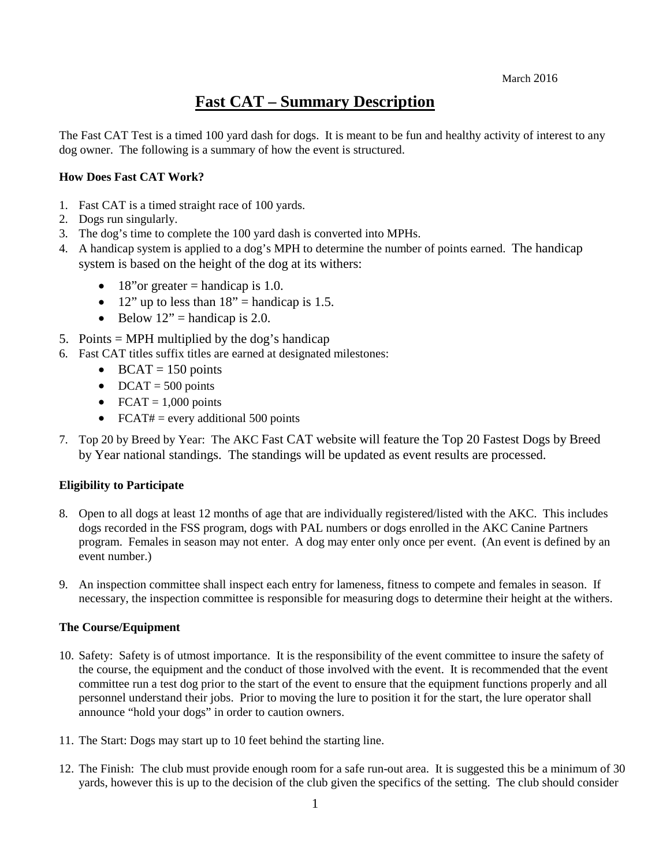# **Fast CAT – Summary Description**

The Fast CAT Test is a timed 100 yard dash for dogs. It is meant to be fun and healthy activity of interest to any dog owner. The following is a summary of how the event is structured.

## **How Does Fast CAT Work?**

- 1. Fast CAT is a timed straight race of 100 yards.
- 2. Dogs run singularly.
- 3. The dog's time to complete the 100 yard dash is converted into MPHs.
- 4. A handicap system is applied to a dog's MPH to determine the number of points earned. The handicap system is based on the height of the dog at its withers:
	- 18"or greater = handicap is 1.0.
	- 12" up to less than  $18"$  = handicap is 1.5.
	- Below  $12$ " = handicap is 2.0.
- 5. Points = MPH multiplied by the dog's handicap
- 6. Fast CAT titles suffix titles are earned at designated milestones:
	- BCAT = 150 points
	- DCAT =  $500$  points
	- FCAT =  $1,000$  points
	- FCAT# = every additional 500 points
- 7. Top 20 by Breed by Year: The AKC Fast CAT website will feature the Top 20 Fastest Dogs by Breed by Year national standings. The standings will be updated as event results are processed.

### **Eligibility to Participate**

- 8. Open to all dogs at least 12 months of age that are individually registered/listed with the AKC. This includes dogs recorded in the FSS program, dogs with PAL numbers or dogs enrolled in the AKC Canine Partners program. Females in season may not enter. A dog may enter only once per event. (An event is defined by an event number.)
- 9. An inspection committee shall inspect each entry for lameness, fitness to compete and females in season. If necessary, the inspection committee is responsible for measuring dogs to determine their height at the withers.

### **The Course/Equipment**

- 10. Safety: Safety is of utmost importance. It is the responsibility of the event committee to insure the safety of the course, the equipment and the conduct of those involved with the event. It is recommended that the event committee run a test dog prior to the start of the event to ensure that the equipment functions properly and all personnel understand their jobs. Prior to moving the lure to position it for the start, the lure operator shall announce "hold your dogs" in order to caution owners.
- 11. The Start: Dogs may start up to 10 feet behind the starting line.
- 12. The Finish: The club must provide enough room for a safe run-out area. It is suggested this be a minimum of 30 yards, however this is up to the decision of the club given the specifics of the setting. The club should consider